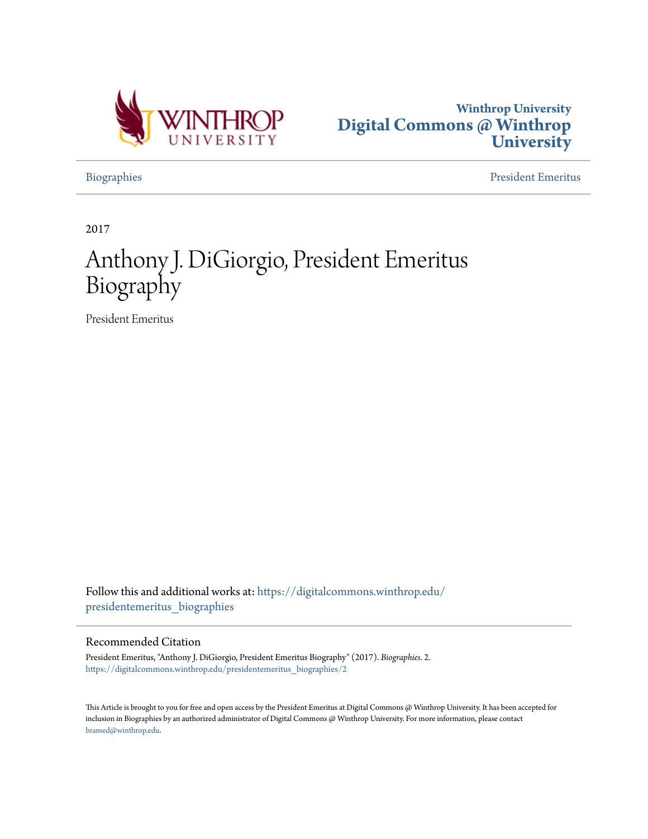



[Biographies](https://digitalcommons.winthrop.edu/presidentemeritus_biographies?utm_source=digitalcommons.winthrop.edu%2Fpresidentemeritus_biographies%2F2&utm_medium=PDF&utm_campaign=PDFCoverPages) [President Emeritus](https://digitalcommons.winthrop.edu/presidentemeritus?utm_source=digitalcommons.winthrop.edu%2Fpresidentemeritus_biographies%2F2&utm_medium=PDF&utm_campaign=PDFCoverPages)

2017

## Anthony J. DiGiorgio, President Emeritus Biography

President Emeritus

Follow this and additional works at: [https://digitalcommons.winthrop.edu/](https://digitalcommons.winthrop.edu/presidentemeritus_biographies?utm_source=digitalcommons.winthrop.edu%2Fpresidentemeritus_biographies%2F2&utm_medium=PDF&utm_campaign=PDFCoverPages) [presidentemeritus\\_biographies](https://digitalcommons.winthrop.edu/presidentemeritus_biographies?utm_source=digitalcommons.winthrop.edu%2Fpresidentemeritus_biographies%2F2&utm_medium=PDF&utm_campaign=PDFCoverPages)

## Recommended Citation

President Emeritus, "Anthony J. DiGiorgio, President Emeritus Biography" (2017). *Biographies*. 2. [https://digitalcommons.winthrop.edu/presidentemeritus\\_biographies/2](https://digitalcommons.winthrop.edu/presidentemeritus_biographies/2?utm_source=digitalcommons.winthrop.edu%2Fpresidentemeritus_biographies%2F2&utm_medium=PDF&utm_campaign=PDFCoverPages)

This Article is brought to you for free and open access by the President Emeritus at Digital Commons @ Winthrop University. It has been accepted for inclusion in Biographies by an authorized administrator of Digital Commons @ Winthrop University. For more information, please contact [bramed@winthrop.edu.](mailto:bramed@winthrop.edu)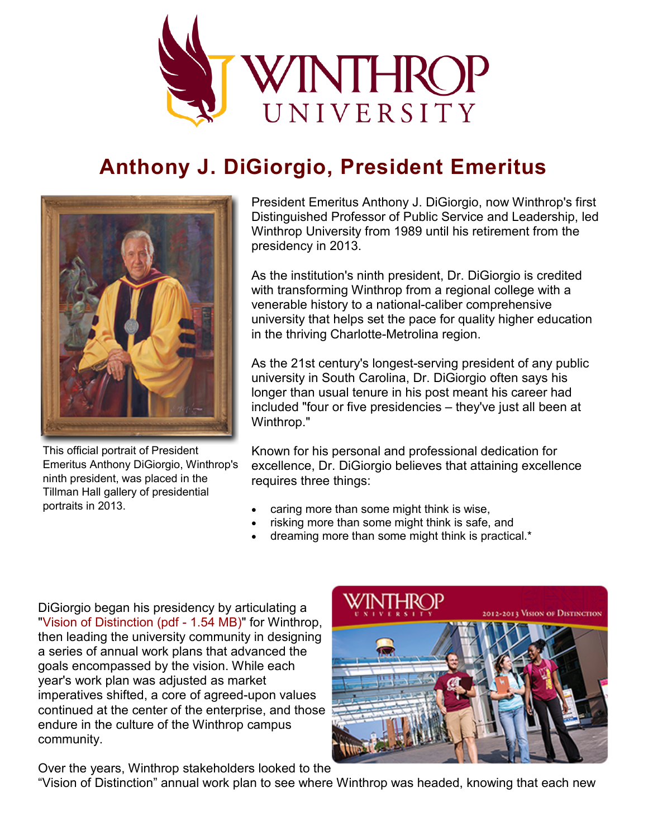

## **Anthony J. DiGiorgio, President Emeritus**



This official portrait of President Emeritus Anthony DiGiorgio, Winthrop's ninth president, was placed in the Tillman Hall gallery of presidential portraits in 2013.

President Emeritus Anthony J. DiGiorgio, now Winthrop's first Distinguished Professor of Public Service and Leadership, led Winthrop University from 1989 until his retirement from the presidency in 2013.

As the institution's ninth president, Dr. DiGiorgio is credited with transforming Winthrop from a regional college with a venerable history to a national-caliber comprehensive university that helps set the pace for quality higher education in the thriving Charlotte-Metrolina region.

As the 21st century's longest-serving president of any public university in South Carolina, Dr. DiGiorgio often says his longer than usual tenure in his post meant his career had included "four or five presidencies – they've just all been at Winthrop."

Known for his personal and professional dedication for excellence, Dr. DiGiorgio believes that attaining excellence requires three things:

- caring more than some might think is wise,
- risking more than some might think is safe, and
- dreaming more than some might think is practical.\*

DiGiorgio began his presidency by articulating a ["Vision of Distinction \(pdf -](https://www.winthrop.edu/uploadedFiles/presidentemeritus/VisionOfDistinction-PresidentEmeritus.pdf) 1.54 MB)" for Winthrop, then leading the university community in designing a series of annual work plans that advanced the goals encompassed by the vision. While each year's work plan was adjusted as market imperatives shifted, a core of agreed-upon values continued at the center of the enterprise, and those endure in the culture of the Winthrop campus community.



Over the years, Winthrop stakeholders looked to the

"Vision of Distinction" annual work plan to see where Winthrop was headed, knowing that each new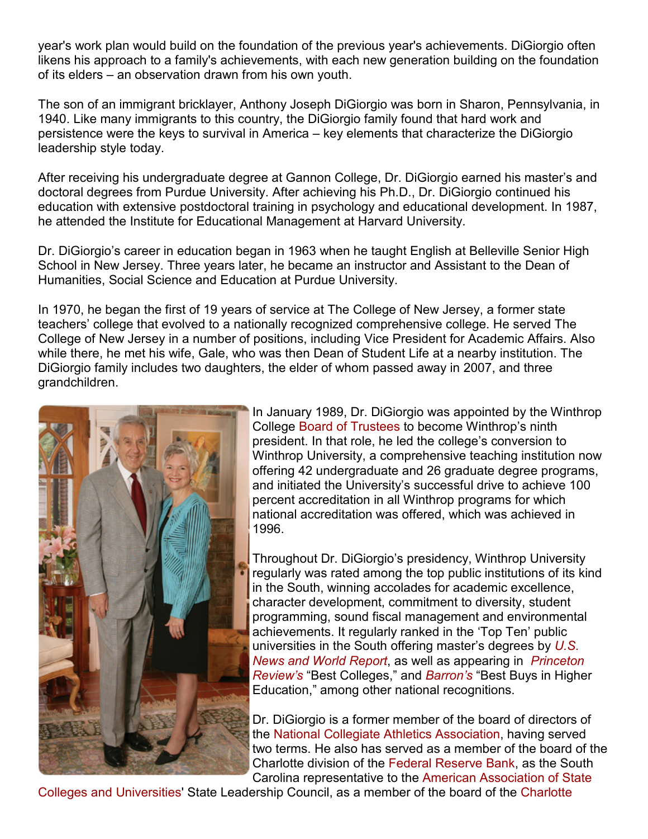year's work plan would build on the foundation of the previous year's achievements. DiGiorgio often likens his approach to a family's achievements, with each new generation building on the foundation of its elders – an observation drawn from his own youth.

The son of an immigrant bricklayer, Anthony Joseph DiGiorgio was born in Sharon, Pennsylvania, in 1940. Like many immigrants to this country, the DiGiorgio family found that hard work and persistence were the keys to survival in America – key elements that characterize the DiGiorgio leadership style today.

After receiving his undergraduate degree at Gannon College, Dr. DiGiorgio earned his master's and doctoral degrees from Purdue University. After achieving his Ph.D., Dr. DiGiorgio continued his education with extensive postdoctoral training in psychology and educational development. In 1987, he attended the Institute for Educational Management at Harvard University.

Dr. DiGiorgio's career in education began in 1963 when he taught English at Belleville Senior High School in New Jersey. Three years later, he became an instructor and Assistant to the Dean of Humanities, Social Science and Education at Purdue University.

In 1970, he began the first of 19 years of service at The College of New Jersey, a former state teachers' college that evolved to a nationally recognized comprehensive college. He served The College of New Jersey in a number of positions, including Vice President for Academic Affairs. Also while there, he met his wife, Gale, who was then Dean of Student Life at a nearby institution. The DiGiorgio family includes two daughters, the elder of whom passed away in 2007, and three grandchildren.



In January 1989, Dr. DiGiorgio was appointed by the Winthrop College [Board of Trustees](http://www.winthrop.edu/Trustees/) to become Winthrop's ninth president. In that role, he led the college's conversion to Winthrop University, a comprehensive teaching institution now offering 42 undergraduate and 26 graduate degree programs, and initiated the University's successful drive to achieve 100 percent accreditation in all Winthrop programs for which national accreditation was offered, which was achieved in 1996.

Throughout Dr. DiGiorgio's presidency, Winthrop University regularly was rated among the top public institutions of its kind in the South, winning accolades for academic excellence, character development, commitment to diversity, student programming, sound fiscal management and environmental achievements. It regularly ranked in the 'Top Ten' public universities in the South offering master's degrees by *[U.S.](http://www.usnews.com/)  [News and World Report](http://www.usnews.com/)*, as well as appearing in *[Princeton](http://www.princetonreview.com/)  [Review's](http://www.princetonreview.com/)* "Best Colleges," and *[Barron's](http://www.barrons.com/)* "Best Buys in Higher Education," among other national recognitions.

Dr. DiGiorgio is a former member of the board of directors of the [National Collegiate Athletics Association,](http://www.ncaa.org/) having served two terms. He also has served as a member of the board of the Charlotte division of the [Federal Reserve Bank,](http://www.federalreserve.gov/) as the South Carolina representative to the [American Association of State](http://www.aacu.org/) 

[Colleges and Universities'](http://www.aacu.org/) State Leadership Council, as a member of the board of the [Charlotte](http://charlotteusa.com/)